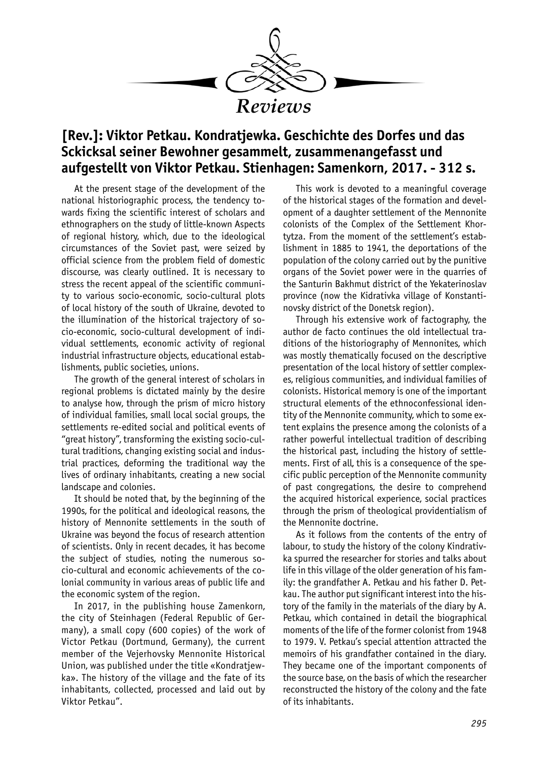

## **[Rev.]: Viktor Petkau. Kondratjewka. Geschichte des Dorfes und das Sckicksal seiner Bewohner gesammelt, zusammenangefasst und aufgestellt von Viktor Petkau. Stienhagen: Samenkorn, 2017. - 312 s.**

At the present stage of the development of the national historiographic process, the tendency towards fixing the scientific interest of scholars and ethnographers on the study of little-known Аspects of regional history, which, due to the ideological circumstances of the Soviet past, were seized by official science from the problem field of domestic discourse, was clearly outlined. It is necessary to stress the recent appeal of the scientific community to various socio-economic, socio-cultural plots of local history of the south of Ukraine, devoted to the illumination of the historical trajectory of socio-economic, socio-cultural development of individual settlements, economic activity of regional industrial infrastructure objects, educational establishments, public societies, unions.

The growth of the general interest of scholars in regional problems is dictated mainly by the desire to analyse how, through the prism of micro history of individual families, small local social groups, the settlements re-edited social and political events of "great history", transforming the existing socio-cultural traditions, changing existing social and industrial practices, deforming the traditional way the lives of ordinary inhabitants, creating a new social landscape and colonies.

It should be noted that, by the beginning of the 1990s, for the political and ideological reasons, the history of Mennonite settlements in the south of Ukraine was beyond the focus of research attention of scientists. Only in recent decades, it has become the subject of studies, noting the numerous socio-cultural and economic achievements of the colonial community in various areas of public life and the economic system of the region.

In 2017, in the publishing house Zamenkorn, the city of Steinhagen (Federal Republic of Germany), a small copy (600 copies) of the work of Victor Petkau (Dortmund, Germany), the current member of the Vejerhovsky Mennonite Historical Union, was published under the title «Kondratjewka». The history of the village and the fate of its inhabitants, collected, processed and laid out by Viktor Petkau".

This work is devoted to a meaningful coverage of the historical stages of the formation and development of a daughter settlement of the Mennonite colonists of the Complex of the Settlement Khortytza. From the moment of the settlement's establishment in 1885 to 1941, the deportations of the population of the colony carried out by the punitive organs of the Soviet power were in the quarries of the Santurin Bakhmut district of the Yekaterinoslav province (now the Kidrativka village of Konstantinovsky district of the Donetsk region).

Through his extensive work of factography, the author de facto continues the old intellectual traditions of the historiography of Mennonites, which was mostly thematically focused on the descriptive presentation of the local history of settler complexes, religious communities, and individual families of colonists. Historical memory is one of the important structural elements of the ethnoconfessional identity of the Mennonite community, which to some extent explains the presence among the colonists of a rather powerful intellectual tradition of describing the historical past, including the history of settlements. First of all, this is a consequence of the specific public perception of the Mennonite community of past congregations, the desire to comprehend the acquired historical experience, social practices through the prism of theological providentialism of the Mennonite doctrine.

As it follows from the contents of the entry of labour, to study the history of the colony Kindrativka spurred the researcher for stories and talks about life in this village of the older generation of his family: the grandfather A. Petkau and his father D. Petkau. The author put significant interest into the history of the family in the materials of the diary by A. Petkau, which contained in detail the biographical moments of the life of the former colonist from 1948 to 1979. V. Petkau's special attention attracted the memoirs of his grandfather contained in the diary. They became one of the important components of the source base, on the basis of which the researcher reconstructed the history of the colony and the fate of its inhabitants.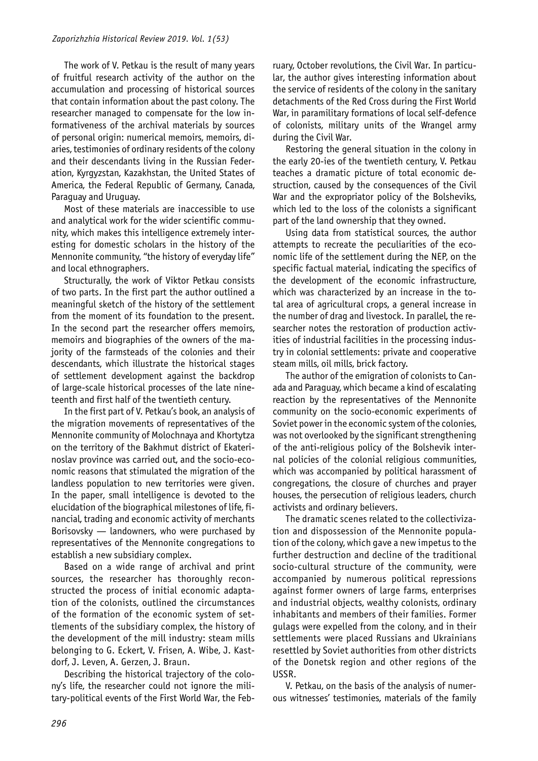The work of V. Petkau is the result of many years of fruitful research activity of the author on the accumulation and processing of historical sources that contain information about the past colony. The researcher managed to compensate for the low informativeness of the archival materials by sources of personal origin: numerical memoirs, memoirs, diaries, testimonies of ordinary residents of the colony and their descendants living in the Russian Federation, Kyrgyzstan, Kazakhstan, the United States of America, the Federal Republic of Germany, Canada, Paraguay and Uruguay.

Most of these materials are inaccessible to use and analytical work for the wider scientific community, which makes this intelligence extremely interesting for domestic scholars in the history of the Mennonite community, "the history of everyday life" and local ethnographers.

Structurally, the work of Viktor Petkau consists of two parts. In the first part the author outlined a meaningful sketch of the history of the settlement from the moment of its foundation to the present. In the second part the researcher offers memoirs, memoirs and biographies of the owners of the majority of the farmsteads of the colonies and their descendants, which illustrate the historical stages of settlement development against the backdrop of large-scale historical processes of the late nineteenth and first half of the twentieth century.

In the first part of V. Petkau's book, an analysis of the migration movements of representatives of the Mennonite community of Molochnaya and Khortytza on the territory of the Bakhmut district of Ekaterinoslav province was carried out, and the socio-economic reasons that stimulated the migration of the landless population to new territories were given. In the paper, small intelligence is devoted to the elucidation of the biographical milestones of life, financial, trading and economic activity of merchants Borisovsky — landowners, who were purchased by representatives of the Mennonite congregations to establish a new subsidiary complex.

Based on a wide range of archival and print sources, the researcher has thoroughly reconstructed the process of initial economic adaptation of the colonists, outlined the circumstances of the formation of the economic system of settlements of the subsidiary complex, the history of the development of the mill industry: steam mills belonging to G. Eckert, V. Frisen, A. Wibe, J. Kastdorf, J. Leven, A. Gerzen, J. Braun.

Describing the historical trajectory of the colony's life, the researcher could not ignore the military-political events of the First World War, the February, October revolutions, the Civil War. In particular, the author gives interesting information about the service of residents of the colony in the sanitary detachments of the Red Cross during the First World War, in paramilitary formations of local self-defence of colonists, military units of the Wrangel army during the Civil War.

Restoring the general situation in the colony in the early 20-ies of the twentieth century, V. Petkau teaches a dramatic picture of total economic destruction, caused by the consequences of the Civil War and the expropriator policy of the Bolsheviks, which led to the loss of the colonists a significant part of the land ownership that they owned.

Using data from statistical sources, the author attempts to recreate the peculiarities of the economic life of the settlement during the NEP, on the specific factual material, indicating the specifics of the development of the economic infrastructure, which was characterized by an increase in the total area of agricultural crops, a general increase in the number of drag and livestock. In parallel, the researcher notes the restoration of production activities of industrial facilities in the processing industry in colonial settlements: private and cooperative steam mills, oil mills, brick factory.

The author of the emigration of colonists to Canada and Paraguay, which became a kind of escalating reaction by the representatives of the Mennonite community on the socio-economic experiments of Soviet power in the economic system of the colonies, was not overlooked by the significant strengthening of the anti-religious policy of the Bolshevik internal policies of the colonial religious communities, which was accompanied by political harassment of congregations, the closure of churches and prayer houses, the persecution of religious leaders, church activists and ordinary believers.

The dramatic scenes related to the collectivization and dispossession of the Mennonite population of the colony, which gave a new impetus to the further destruction and decline of the traditional socio-cultural structure of the community, were accompanied by numerous political repressions against former owners of large farms, enterprises and industrial objects, wealthy colonists, ordinary inhabitants and members of their families. Former gulags were expelled from the colony, and in their settlements were placed Russians and Ukrainians resettled by Soviet authorities from other districts of the Donetsk region and other regions of the USSR.

V. Petkau, on the basis of the analysis of numerous witnesses' testimonies, materials of the family